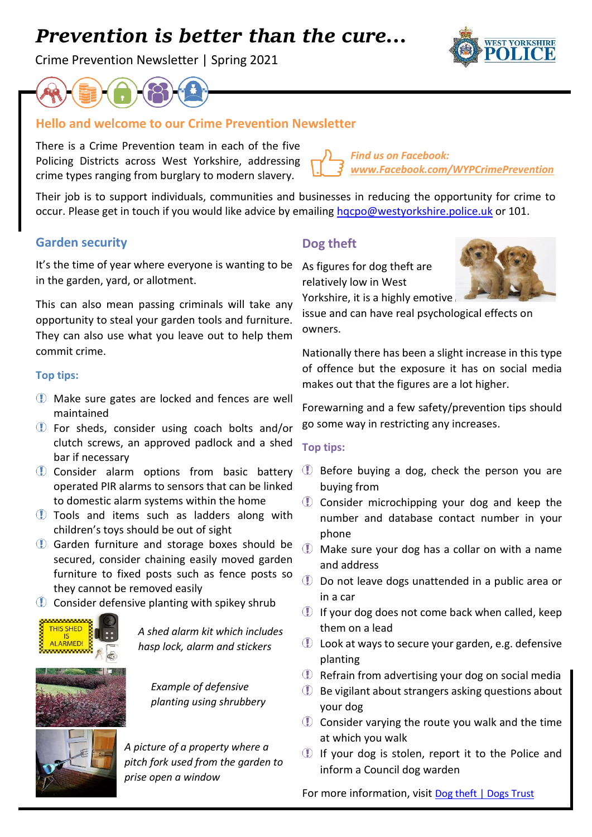# *Prevention is better than the cure…*

Crime Prevention Newsletter | Spring 2021





## **Hello and welcome to our Crime Prevention Newsletter**

There is a Crime Prevention team in each of the five Policing Districts across West Yorkshire, addressing crime types ranging from burglary to modern slavery.

*Find us on Facebook: [www.Facebook.com/WYPCrimePrevention](http://www.facebook.com/WYPCrimePrevention)*

Their job is to support individuals, communities and businesses in reducing the opportunity for crime to occur. Please get in touch if you would like advice by emailing hocpo@westyorkshire.police.uk or 101.

## **Garden security**

It's the time of year where everyone is wanting to be As figures for dog theft are in the garden, yard, or allotment.

This can also mean passing criminals will take any opportunity to steal your garden tools and furniture. They can also use what you leave out to help them commit crime.

#### **Top tips:**

- Make sure gates are locked and fences are well maintained
- For sheds, consider using coach bolts and/or clutch screws, an approved padlock and a shed bar if necessary
- Consider alarm options from basic battery operated PIR alarms to sensors that can be linked to domestic alarm systems within the home
- Tools and items such as ladders along with children's toys should be out of sight
- Garden furniture and storage boxes should be secured, consider chaining easily moved garden furniture to fixed posts such as fence posts so they cannot be removed easily
- **Consider defensive planting with spikey shrub**



*A shed alarm kit which includes hasp lock, alarm and stickers* 



*Example of defensive planting using shrubbery*



*A picture of a property where a pitch fork used from the garden to prise open a window*

## **Dog theft**

relatively low in West



issue and can have real psychological effects on owners.

Nationally there has been a slight increase in this type of offence but the exposure it has on social media makes out that the figures are a lot higher.

Forewarning and a few safety/prevention tips should go some way in restricting any increases.

#### **Top tips:**

- $\mathbb U$  Before buying a dog, check the person you are buying from
- **Consider microchipping your dog and keep the** number and database contact number in your phone
- Make sure your dog has a collar on with a name and address
- **D** Do not leave dogs unattended in a public area or in a car
- **If your dog does not come back when called, keep** them on a lead
- **U** Look at ways to secure your garden, e.g. defensive planting
- **D** Refrain from advertising your dog on social media
- $\mathbb D$  Be vigilant about strangers asking questions about your dog
- $\mathbb D$  Consider varying the route you walk and the time at which you walk
- If your dog is stolen, report it to the Police and inform a Council dog warden

For more information, visit [Dog theft | Dogs Trust](https://www.dogstrust.org.uk/news-events/issues-campaigns/dog-theft/)